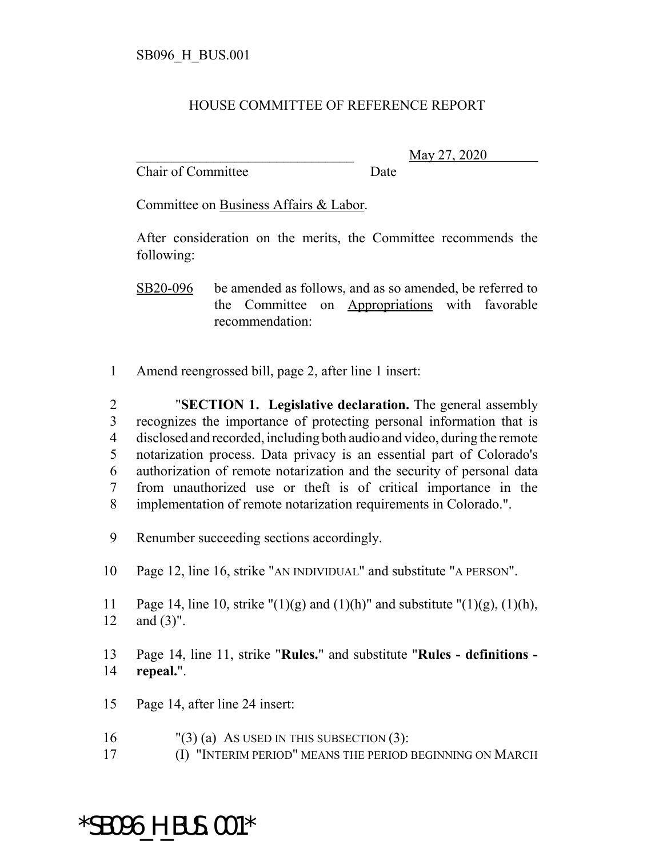## HOUSE COMMITTEE OF REFERENCE REPORT

Chair of Committee Date

\_\_\_\_\_\_\_\_\_\_\_\_\_\_\_\_\_\_\_\_\_\_\_\_\_\_\_\_\_\_\_ May 27, 2020

Committee on Business Affairs & Labor.

After consideration on the merits, the Committee recommends the following:

SB20-096 be amended as follows, and as so amended, be referred to the Committee on Appropriations with favorable recommendation:

1 Amend reengrossed bill, page 2, after line 1 insert:

 "**SECTION 1. Legislative declaration.** The general assembly recognizes the importance of protecting personal information that is disclosed and recorded, including both audio and video, during the remote notarization process. Data privacy is an essential part of Colorado's authorization of remote notarization and the security of personal data from unauthorized use or theft is of critical importance in the implementation of remote notarization requirements in Colorado.".

9 Renumber succeeding sections accordingly.

- 10 Page 12, line 16, strike "AN INDIVIDUAL" and substitute "A PERSON".
- 11 Page 14, line 10, strike " $(1)(g)$  and  $(1)(h)$ " and substitute " $(1)(g)$ ,  $(1)(h)$ , 12 and (3)".
- 13 Page 14, line 11, strike "**Rules.**" and substitute "**Rules definitions -** 14 **repeal.**".
- 15 Page 14, after line 24 insert:
- 16 "(3) (a) As USED IN THIS SUBSECTION  $(3)$ :
- 17 (I) "INTERIM PERIOD" MEANS THE PERIOD BEGINNING ON MARCH

## \*SB096\_H\_BUS.001\*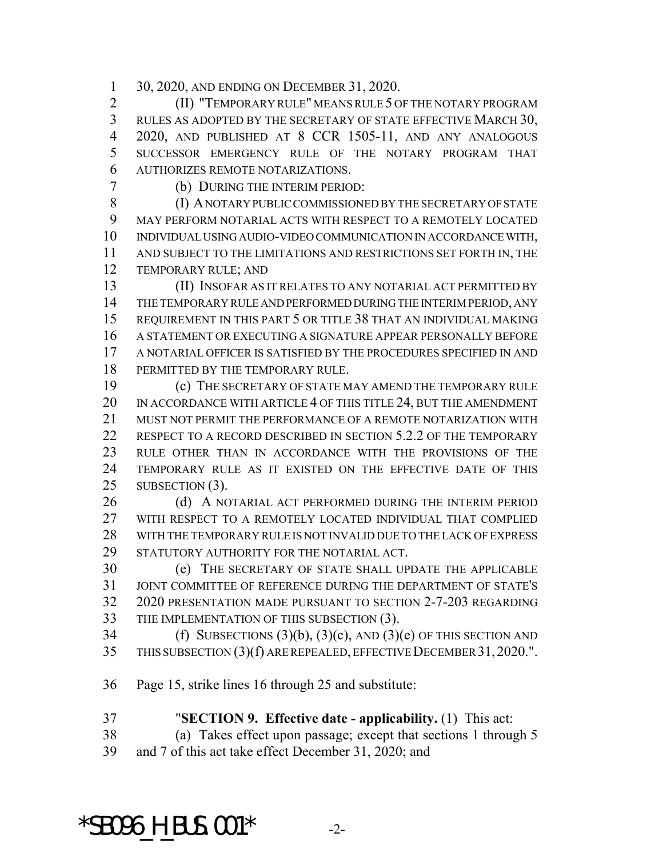30, 2020, AND ENDING ON DECEMBER 31, 2020.

 (II) "TEMPORARY RULE" MEANS RULE 5 OF THE NOTARY PROGRAM RULES AS ADOPTED BY THE SECRETARY OF STATE EFFECTIVE MARCH 30, 2020, AND PUBLISHED AT 8 CCR 1505-11, AND ANY ANALOGOUS SUCCESSOR EMERGENCY RULE OF THE NOTARY PROGRAM THAT AUTHORIZES REMOTE NOTARIZATIONS.

(b) DURING THE INTERIM PERIOD:

 (I) A NOTARY PUBLIC COMMISSIONED BY THE SECRETARY OF STATE MAY PERFORM NOTARIAL ACTS WITH RESPECT TO A REMOTELY LOCATED INDIVIDUAL USING AUDIO-VIDEO COMMUNICATION IN ACCORDANCE WITH, AND SUBJECT TO THE LIMITATIONS AND RESTRICTIONS SET FORTH IN, THE TEMPORARY RULE; AND

 (II) INSOFAR AS IT RELATES TO ANY NOTARIAL ACT PERMITTED BY THE TEMPORARY RULE AND PERFORMED DURING THE INTERIM PERIOD, ANY REQUIREMENT IN THIS PART 5 OR TITLE 38 THAT AN INDIVIDUAL MAKING A STATEMENT OR EXECUTING A SIGNATURE APPEAR PERSONALLY BEFORE A NOTARIAL OFFICER IS SATISFIED BY THE PROCEDURES SPECIFIED IN AND 18 PERMITTED BY THE TEMPORARY RULE.

 (c) THE SECRETARY OF STATE MAY AMEND THE TEMPORARY RULE IN ACCORDANCE WITH ARTICLE 4 OF THIS TITLE 24, BUT THE AMENDMENT MUST NOT PERMIT THE PERFORMANCE OF A REMOTE NOTARIZATION WITH 22 RESPECT TO A RECORD DESCRIBED IN SECTION 5.2.2 OF THE TEMPORARY RULE OTHER THAN IN ACCORDANCE WITH THE PROVISIONS OF THE TEMPORARY RULE AS IT EXISTED ON THE EFFECTIVE DATE OF THIS 25 SUBSECTION (3).

26 (d) A NOTARIAL ACT PERFORMED DURING THE INTERIM PERIOD WITH RESPECT TO A REMOTELY LOCATED INDIVIDUAL THAT COMPLIED WITH THE TEMPORARY RULE IS NOT INVALID DUE TO THE LACK OF EXPRESS STATUTORY AUTHORITY FOR THE NOTARIAL ACT.

 (e) THE SECRETARY OF STATE SHALL UPDATE THE APPLICABLE JOINT COMMITTEE OF REFERENCE DURING THE DEPARTMENT OF STATE'S 2020 PRESENTATION MADE PURSUANT TO SECTION 2-7-203 REGARDING THE IMPLEMENTATION OF THIS SUBSECTION (3).

34 (f) SUBSECTIONS  $(3)(b)$ ,  $(3)(c)$ , AND  $(3)(e)$  OF THIS SECTION AND THIS SUBSECTION (3)(f) ARE REPEALED, EFFECTIVE DECEMBER 31,2020.".

Page 15, strike lines 16 through 25 and substitute:

 "**SECTION 9. Effective date - applicability.** (1) This act: (a) Takes effect upon passage; except that sections 1 through 5

and 7 of this act take effect December 31, 2020; and

 $*$ SB096 H BUS.001 $*$  -2-